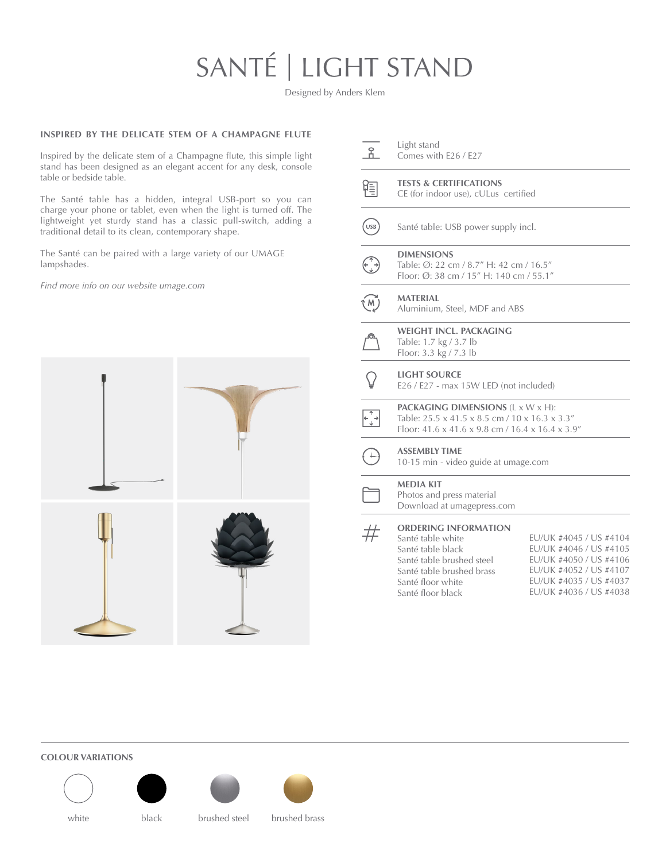## SANTÉ | LIGHT STAND

Designed by Anders Klem

## **INSPIRED BY THE DELICATE STEM OF A CHAMPAGNE FLUTE**

Inspired by the delicate stem of a Champagne flute, this simple light stand has been designed as an elegant accent for any desk, console table or bedside table.

The Santé table has a hidden, integral USB-port so you can charge your phone or tablet, even when the light is turned off. The lightweight yet sturdy stand has a classic pull-switch, adding a traditional detail to its clean, contemporary shape.

The Santé can be paired with a large variety of our UMAGE lampshades.

*Find more info on our website [umage.com](http://umage.com)*



| n                                                       | Light stand<br>Comes with E26 / E27                                                                                                                                       |                                                                                                                                                          |
|---------------------------------------------------------|---------------------------------------------------------------------------------------------------------------------------------------------------------------------------|----------------------------------------------------------------------------------------------------------------------------------------------------------|
|                                                         | <b>TESTS &amp; CERTIFICATIONS</b><br>CE (for indoor use), cULus certified                                                                                                 |                                                                                                                                                          |
| $\overline{\text{USB}}$                                 | Santé table: USB power supply incl.                                                                                                                                       |                                                                                                                                                          |
|                                                         | <b>DIMENSIONS</b><br>Table: Ø: 22 cm / 8.7" H: 42 cm / 16.5"<br>Floor: Ø: 38 cm / 15" H: 140 cm / 55.1"                                                                   |                                                                                                                                                          |
| $\overbrace{\phantom{a}}^{\overbrace{\phantom{a}}^{M}}$ | <b>MATERIAL</b><br>Aluminium, Steel, MDF and ABS                                                                                                                          |                                                                                                                                                          |
|                                                         | <b>WEIGHT INCL. PACKAGING</b><br>Table: 1.7 kg / 3.7 lb<br>Floor: 3.3 kg / 7.3 lb                                                                                         |                                                                                                                                                          |
|                                                         | <b>LIGHT SOURCE</b><br>E26 / E27 - max 15W LED (not included)                                                                                                             |                                                                                                                                                          |
| $+\frac{1}{4}$                                          | <b>PACKAGING DIMENSIONS (L x W x H):</b><br>Table: 25.5 x 41.5 x 8.5 cm / 10 x 16.3 x 3.3"<br>Floor: 41.6 x 41.6 x 9.8 cm / 16.4 x 16.4 x 3.9"                            |                                                                                                                                                          |
|                                                         | <b>ASSEMBLY TIME</b><br>10-15 min - video guide at umage.com                                                                                                              |                                                                                                                                                          |
|                                                         | <b>MEDIA KIT</b><br>Photos and press material<br>Download at umagepress.com                                                                                               |                                                                                                                                                          |
| #                                                       | <b>ORDERING INFORMATION</b><br>Santé table white<br>Santé table black<br>Santé table brushed steel<br>Santé table brushed brass<br>Santé floor white<br>Santé floor black | EU/UK #4045 / US #4104<br>EU/UK #4046 / US #4105<br>EU/UK #4050 / US #4106<br>EU/UK #4052 / US #4107<br>EU/UK #4035 / US #4037<br>EU/UK #4036 / US #4038 |

**COLOUR VARIATIONS**





white black brushed steel brushed brass